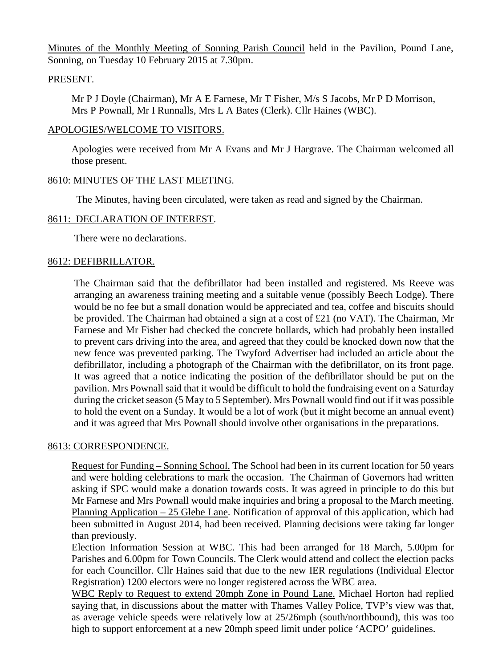Minutes of the Monthly Meeting of Sonning Parish Council held in the Pavilion, Pound Lane, Sonning, on Tuesday 10 February 2015 at 7.30pm.

### PRESENT.

Mr P J Doyle (Chairman), Mr A E Farnese, Mr T Fisher, M/s S Jacobs, Mr P D Morrison, Mrs P Pownall, Mr I Runnalls, Mrs L A Bates (Clerk). Cllr Haines (WBC).

#### APOLOGIES/WELCOME TO VISITORS.

Apologies were received from Mr A Evans and Mr J Hargrave. The Chairman welcomed all those present.

### 8610: MINUTES OF THE LAST MEETING.

The Minutes, having been circulated, were taken as read and signed by the Chairman.

### 8611: DECLARATION OF INTEREST.

There were no declarations.

#### 8612: DEFIBRILLATOR.

The Chairman said that the defibrillator had been installed and registered. Ms Reeve was arranging an awareness training meeting and a suitable venue (possibly Beech Lodge). There would be no fee but a small donation would be appreciated and tea, coffee and biscuits should be provided. The Chairman had obtained a sign at a cost of £21 (no VAT). The Chairman, Mr Farnese and Mr Fisher had checked the concrete bollards, which had probably been installed to prevent cars driving into the area, and agreed that they could be knocked down now that the new fence was prevented parking. The Twyford Advertiser had included an article about the defibrillator, including a photograph of the Chairman with the defibrillator, on its front page. It was agreed that a notice indicating the position of the defibrillator should be put on the pavilion. Mrs Pownall said that it would be difficult to hold the fundraising event on a Saturday during the cricket season (5 May to 5 September). Mrs Pownall would find out if it was possible to hold the event on a Sunday. It would be a lot of work (but it might become an annual event) and it was agreed that Mrs Pownall should involve other organisations in the preparations.

#### 8613: CORRESPONDENCE.

Request for Funding – Sonning School. The School had been in its current location for 50 years and were holding celebrations to mark the occasion. The Chairman of Governors had written asking if SPC would make a donation towards costs. It was agreed in principle to do this but Mr Farnese and Mrs Pownall would make inquiries and bring a proposal to the March meeting. Planning Application – 25 Glebe Lane. Notification of approval of this application, which had been submitted in August 2014, had been received. Planning decisions were taking far longer than previously.

Election Information Session at WBC. This had been arranged for 18 March, 5.00pm for Parishes and 6.00pm for Town Councils. The Clerk would attend and collect the election packs for each Councillor. Cllr Haines said that due to the new IER regulations (Individual Elector Registration) 1200 electors were no longer registered across the WBC area.

WBC Reply to Request to extend 20mph Zone in Pound Lane. Michael Horton had replied saying that, in discussions about the matter with Thames Valley Police, TVP's view was that, as average vehicle speeds were relatively low at 25/26mph (south/northbound), this was too high to support enforcement at a new 20mph speed limit under police 'ACPO' guidelines.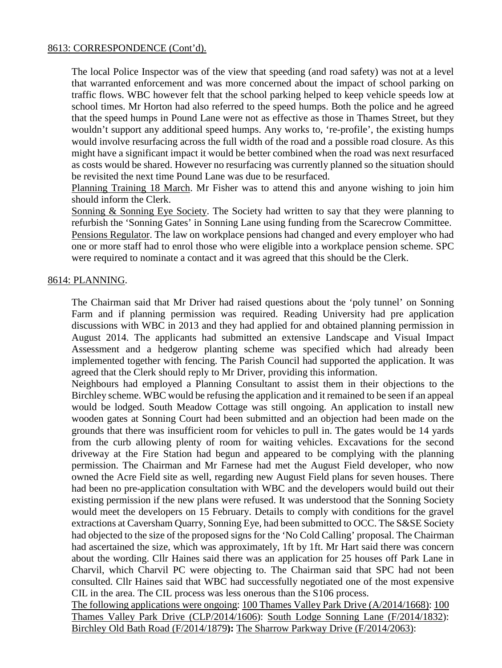### 8613: CORRESPONDENCE (Cont'd).

The local Police Inspector was of the view that speeding (and road safety) was not at a level that warranted enforcement and was more concerned about the impact of school parking on traffic flows. WBC however felt that the school parking helped to keep vehicle speeds low at school times. Mr Horton had also referred to the speed humps. Both the police and he agreed that the speed humps in Pound Lane were not as effective as those in Thames Street, but they wouldn't support any additional speed humps. Any works to, 're-profile', the existing humps would involve resurfacing across the full width of the road and a possible road closure. As this might have a significant impact it would be better combined when the road was next resurfaced as costs would be shared. However no resurfacing was currently planned so the situation should be revisited the next time Pound Lane was due to be resurfaced.

Planning Training 18 March. Mr Fisher was to attend this and anyone wishing to join him should inform the Clerk.

Sonning & Sonning Eye Society. The Society had written to say that they were planning to refurbish the 'Sonning Gates' in Sonning Lane using funding from the Scarecrow Committee. Pensions Regulator. The law on workplace pensions had changed and every employer who had one or more staff had to enrol those who were eligible into a workplace pension scheme. SPC were required to nominate a contact and it was agreed that this should be the Clerk.

### 8614: PLANNING.

The Chairman said that Mr Driver had raised questions about the 'poly tunnel' on Sonning Farm and if planning permission was required. Reading University had pre application discussions with WBC in 2013 and they had applied for and obtained planning permission in August 2014. The applicants had submitted an extensive Landscape and Visual Impact Assessment and a hedgerow planting scheme was specified which had already been implemented together with fencing. The Parish Council had supported the application. It was agreed that the Clerk should reply to Mr Driver, providing this information.

Neighbours had employed a Planning Consultant to assist them in their objections to the Birchley scheme. WBC would be refusing the application and it remained to be seen if an appeal would be lodged. South Meadow Cottage was still ongoing. An application to install new wooden gates at Sonning Court had been submitted and an objection had been made on the grounds that there was insufficient room for vehicles to pull in. The gates would be 14 yards from the curb allowing plenty of room for waiting vehicles. Excavations for the second driveway at the Fire Station had begun and appeared to be complying with the planning permission. The Chairman and Mr Farnese had met the August Field developer, who now owned the Acre Field site as well, regarding new August Field plans for seven houses. There had been no pre-application consultation with WBC and the developers would build out their existing permission if the new plans were refused. It was understood that the Sonning Society would meet the developers on 15 February. Details to comply with conditions for the gravel extractions at Caversham Quarry, Sonning Eye, had been submitted to OCC. The S&SE Society had objected to the size of the proposed signs for the 'No Cold Calling' proposal. The Chairman had ascertained the size, which was approximately, 1ft by 1ft. Mr Hart said there was concern about the wording. Cllr Haines said there was an application for 25 houses off Park Lane in Charvil, which Charvil PC were objecting to. The Chairman said that SPC had not been consulted. Cllr Haines said that WBC had successfully negotiated one of the most expensive CIL in the area. The CIL process was less onerous than the S106 process.

The following applications were ongoing: 100 Thames Valley Park Drive (A/2014/1668): 100 Thames Valley Park Drive (CLP/2014/1606): South Lodge Sonning Lane (F/2014/1832): Birchley Old Bath Road (F/2014/1879**):** The Sharrow Parkway Drive (F/2014/2063):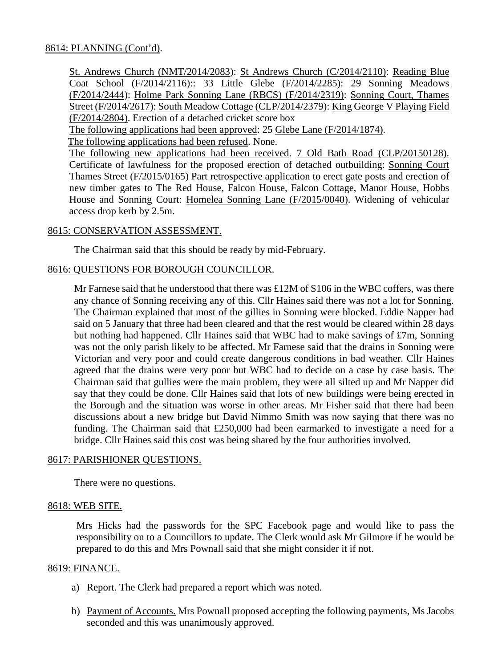## 8614: PLANNING (Cont'd).

St. Andrews Church (NMT/2014/2083): St Andrews Church (C/2014/2110): Reading Blue Coat School (F/2014/2116):: 33 Little Glebe (F/2014/2285): 29 Sonning Meadows (F/2014/2444): Holme Park Sonning Lane (RBCS) (F/2014/2319): Sonning Court, Thames Street (F/2014/2617): South Meadow Cottage (CLP/2014/2379): King George V Playing Field (F/2014/2804). Erection of a detached cricket score box

The following applications had been approved: 25 Glebe Lane (F/2014/1874).

The following applications had been refused. None.

The following new applications had been received. 7 Old Bath Road (CLP/20150128). Certificate of lawfulness for the proposed erection of detached outbuilding: Sonning Court Thames Street (F/2015/0165) Part retrospective application to erect gate posts and erection of new timber gates to The Red House, Falcon House, Falcon Cottage, Manor House, Hobbs House and Sonning Court: Homelea Sonning Lane (F/2015/0040). Widening of vehicular access drop kerb by 2.5m.

## 8615: CONSERVATION ASSESSMENT.

The Chairman said that this should be ready by mid-February.

## 8616: QUESTIONS FOR BOROUGH COUNCILLOR.

Mr Farnese said that he understood that there was £12M of S106 in the WBC coffers, was there any chance of Sonning receiving any of this. Cllr Haines said there was not a lot for Sonning. The Chairman explained that most of the gillies in Sonning were blocked. Eddie Napper had said on 5 January that three had been cleared and that the rest would be cleared within 28 days but nothing had happened. Cllr Haines said that WBC had to make savings of £7m, Sonning was not the only parish likely to be affected. Mr Farnese said that the drains in Sonning were Victorian and very poor and could create dangerous conditions in bad weather. Cllr Haines agreed that the drains were very poor but WBC had to decide on a case by case basis. The Chairman said that gullies were the main problem, they were all silted up and Mr Napper did say that they could be done. Cllr Haines said that lots of new buildings were being erected in the Borough and the situation was worse in other areas. Mr Fisher said that there had been discussions about a new bridge but David Nimmo Smith was now saying that there was no funding. The Chairman said that £250,000 had been earmarked to investigate a need for a bridge. Cllr Haines said this cost was being shared by the four authorities involved.

### 8617: PARISHIONER QUESTIONS.

There were no questions.

### 8618: WEB SITE.

Mrs Hicks had the passwords for the SPC Facebook page and would like to pass the responsibility on to a Councillors to update. The Clerk would ask Mr Gilmore if he would be prepared to do this and Mrs Pownall said that she might consider it if not.

### 8619: FINANCE.

- a) Report. The Clerk had prepared a report which was noted.
- b) Payment of Accounts. Mrs Pownall proposed accepting the following payments, Ms Jacobs seconded and this was unanimously approved.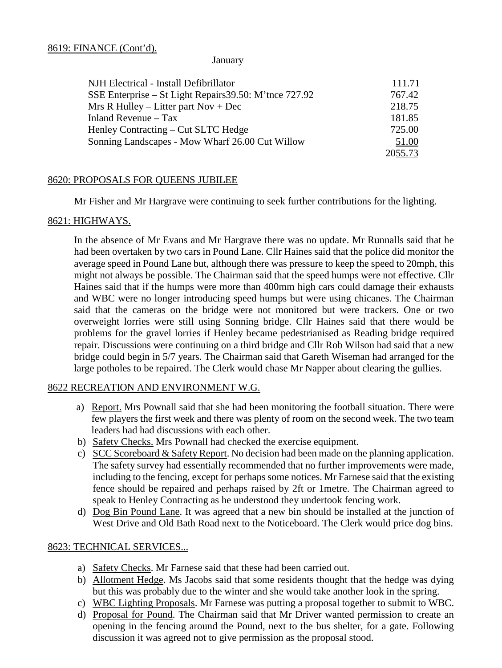#### January

| NJH Electrical - Install Defibrillator                 | 111.71  |
|--------------------------------------------------------|---------|
| SSE Enterprise – St Light Repairs 39.50: M'tnce 727.92 | 767.42  |
| Mrs R Hulley – Litter part Nov + Dec                   | 218.75  |
| Inland Revenue $-$ Tax                                 | 181.85  |
| Henley Contracting – Cut SLTC Hedge                    | 725.00  |
| Sonning Landscapes - Mow Wharf 26.00 Cut Willow        | 51.00   |
|                                                        | 2055.73 |

## 8620: PROPOSALS FOR QUEENS JUBILEE

Mr Fisher and Mr Hargrave were continuing to seek further contributions for the lighting.

## 8621: HIGHWAYS.

In the absence of Mr Evans and Mr Hargrave there was no update. Mr Runnalls said that he had been overtaken by two cars in Pound Lane. Cllr Haines said that the police did monitor the average speed in Pound Lane but, although there was pressure to keep the speed to 20mph, this might not always be possible. The Chairman said that the speed humps were not effective. Cllr Haines said that if the humps were more than 400mm high cars could damage their exhausts and WBC were no longer introducing speed humps but were using chicanes. The Chairman said that the cameras on the bridge were not monitored but were trackers. One or two overweight lorries were still using Sonning bridge. Cllr Haines said that there would be problems for the gravel lorries if Henley became pedestrianised as Reading bridge required repair. Discussions were continuing on a third bridge and Cllr Rob Wilson had said that a new bridge could begin in 5/7 years. The Chairman said that Gareth Wiseman had arranged for the large potholes to be repaired. The Clerk would chase Mr Napper about clearing the gullies.

### 8622 RECREATION AND ENVIRONMENT W.G.

- a) Report. Mrs Pownall said that she had been monitoring the football situation. There were few players the first week and there was plenty of room on the second week. The two team leaders had had discussions with each other.
- b) Safety Checks. Mrs Pownall had checked the exercise equipment.
- c) SCC Scoreboard & Safety Report. No decision had been made on the planning application. The safety survey had essentially recommended that no further improvements were made, including to the fencing, except for perhaps some notices. Mr Farnese said that the existing fence should be repaired and perhaps raised by 2ft or 1metre. The Chairman agreed to speak to Henley Contracting as he understood they undertook fencing work.
- d) Dog Bin Pound Lane. It was agreed that a new bin should be installed at the junction of West Drive and Old Bath Road next to the Noticeboard. The Clerk would price dog bins.

# 8623: TECHNICAL SERVICES...

- a) Safety Checks. Mr Farnese said that these had been carried out.
- b) Allotment Hedge. Ms Jacobs said that some residents thought that the hedge was dying but this was probably due to the winter and she would take another look in the spring.
- c) WBC Lighting Proposals. Mr Farnese was putting a proposal together to submit to WBC.
- d) Proposal for Pound. The Chairman said that Mr Driver wanted permission to create an opening in the fencing around the Pound, next to the bus shelter, for a gate. Following discussion it was agreed not to give permission as the proposal stood.